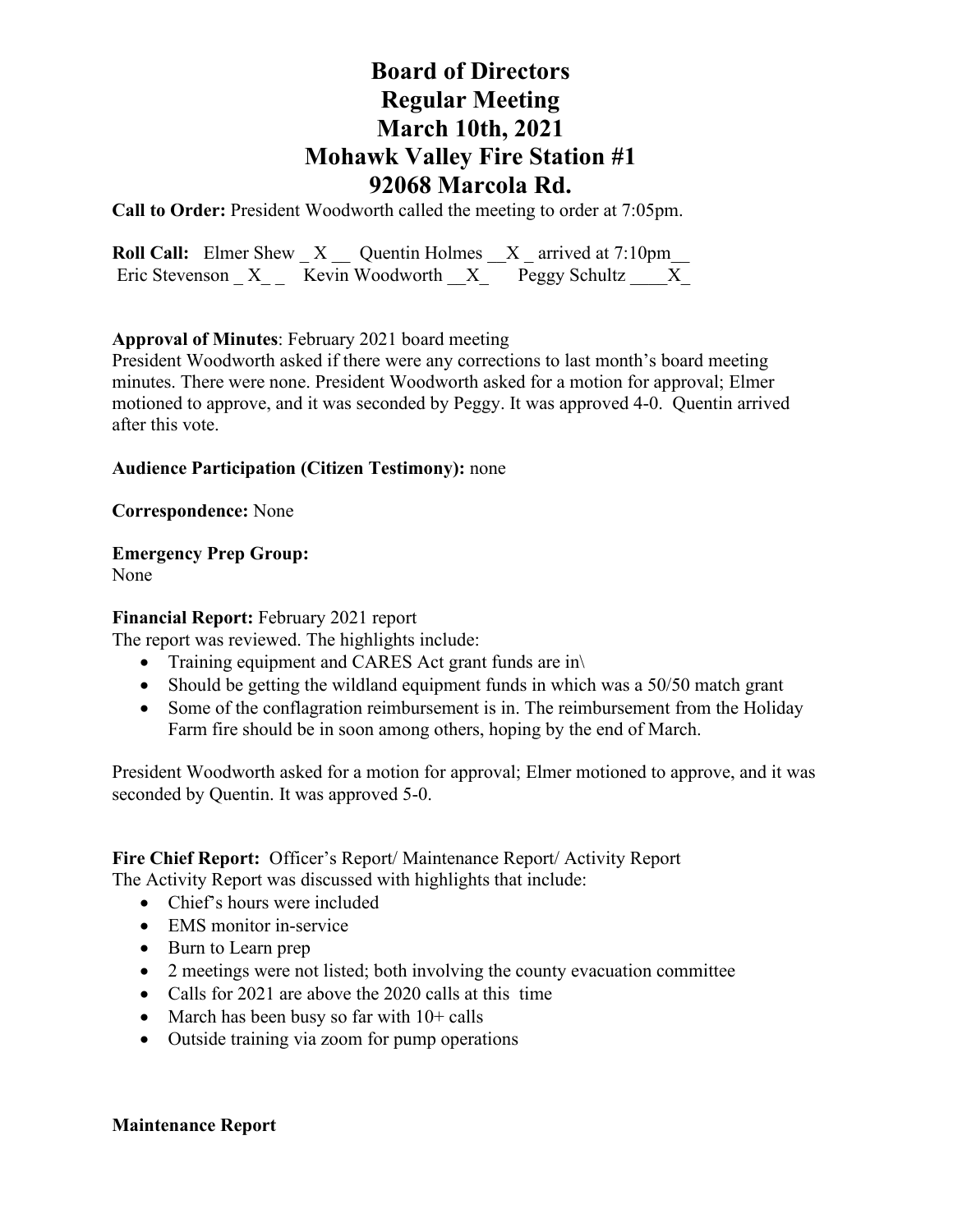# **Board of Directors Regular Meeting March 10th, 2021 Mohawk Valley Fire Station #1 92068 Marcola Rd.**

**Call to Order:** President Woodworth called the meeting to order at 7:05pm.

**Roll Call:** Elmer Shew  $X$  Quentin Holmes  $X$  arrived at 7:10pm Eric Stevenson  $X$  Kevin Woodworth  $X$  Peggy Schultz  $X$ 

# **Approval of Minutes**: February 2021 board meeting

President Woodworth asked if there were any corrections to last month's board meeting minutes. There were none. President Woodworth asked for a motion for approval; Elmer motioned to approve, and it was seconded by Peggy. It was approved 4-0. Quentin arrived after this vote.

# **Audience Participation (Citizen Testimony):** none

**Correspondence:** None

# **Emergency Prep Group:**

None

#### **Financial Report:** February 2021 report

The report was reviewed. The highlights include:

- Training equipment and CARES Act grant funds are in\
- Should be getting the wildland equipment funds in which was a 50/50 match grant
- Some of the conflagration reimbursement is in. The reimbursement from the Holiday Farm fire should be in soon among others, hoping by the end of March.

President Woodworth asked for a motion for approval; Elmer motioned to approve, and it was seconded by Quentin. It was approved 5-0.

# **Fire Chief Report:** Officer's Report/ Maintenance Report/ Activity Report

The Activity Report was discussed with highlights that include:

- Chief's hours were included
- EMS monitor in-service
- Burn to Learn prep
- 2 meetings were not listed; both involving the county evacuation committee
- Calls for 2021 are above the 2020 calls at this time
- March has been busy so far with  $10+$  calls
- Outside training via zoom for pump operations

#### **Maintenance Report**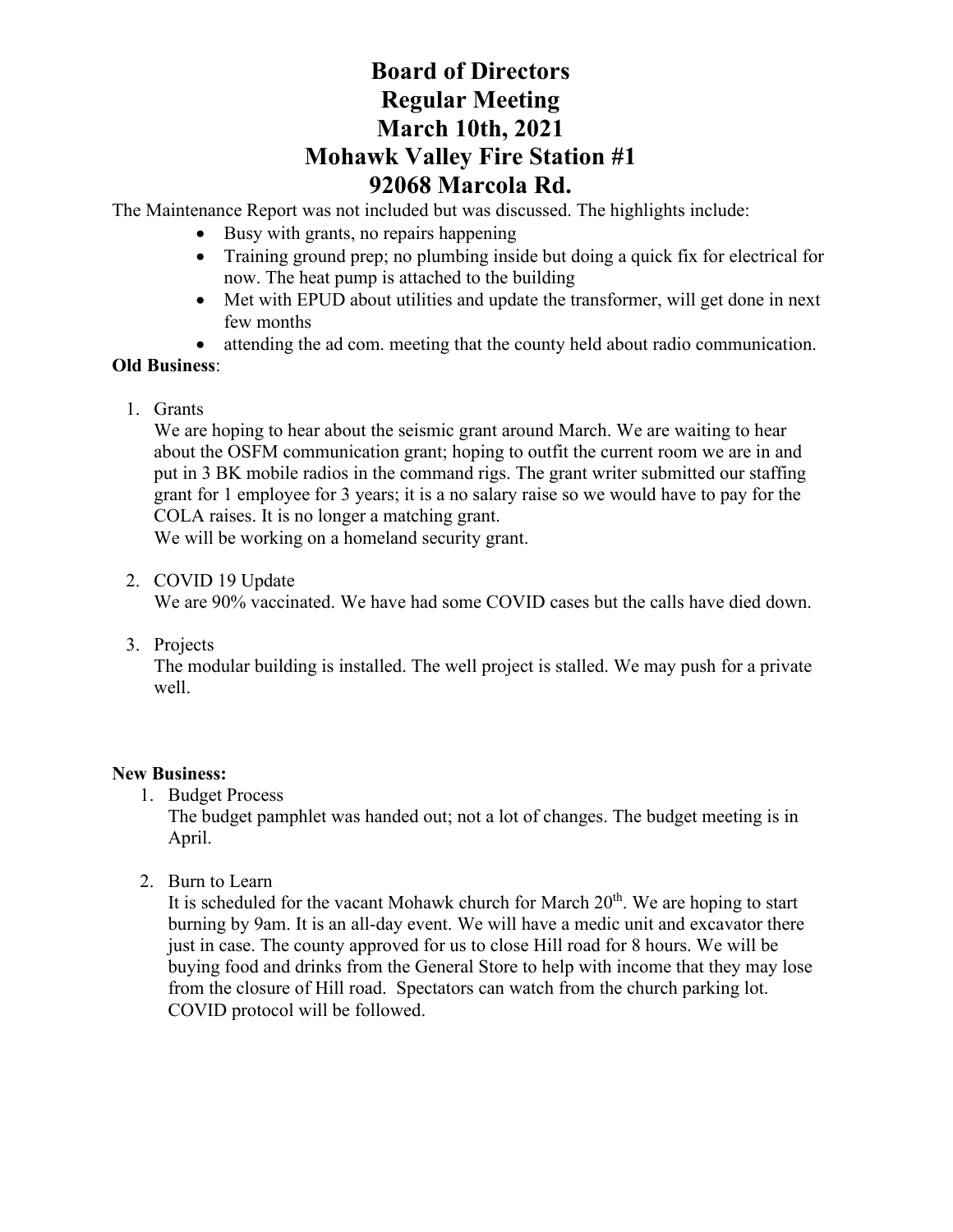# **Board of Directors Regular Meeting March 10th, 2021 Mohawk Valley Fire Station #1 92068 Marcola Rd.**

The Maintenance Report was not included but was discussed. The highlights include:

- Busy with grants, no repairs happening
- Training ground prep; no plumbing inside but doing a quick fix for electrical for now. The heat pump is attached to the building
- Met with EPUD about utilities and update the transformer, will get done in next few months
- attending the ad com. meeting that the county held about radio communication.

# **Old Business**:

1. Grants

We are hoping to hear about the seismic grant around March. We are waiting to hear about the OSFM communication grant; hoping to outfit the current room we are in and put in 3 BK mobile radios in the command rigs. The grant writer submitted our staffing grant for 1 employee for 3 years; it is a no salary raise so we would have to pay for the COLA raises. It is no longer a matching grant.

We will be working on a homeland security grant.

2. COVID 19 Update

We are 90% vaccinated. We have had some COVID cases but the calls have died down.

3. Projects

The modular building is installed. The well project is stalled. We may push for a private well.

# **New Business:**

1. Budget Process

The budget pamphlet was handed out; not a lot of changes. The budget meeting is in April.

2. Burn to Learn

It is scheduled for the vacant Mohawk church for March  $20<sup>th</sup>$ . We are hoping to start burning by 9am. It is an all-day event. We will have a medic unit and excavator there just in case. The county approved for us to close Hill road for 8 hours. We will be buying food and drinks from the General Store to help with income that they may lose from the closure of Hill road. Spectators can watch from the church parking lot. COVID protocol will be followed.